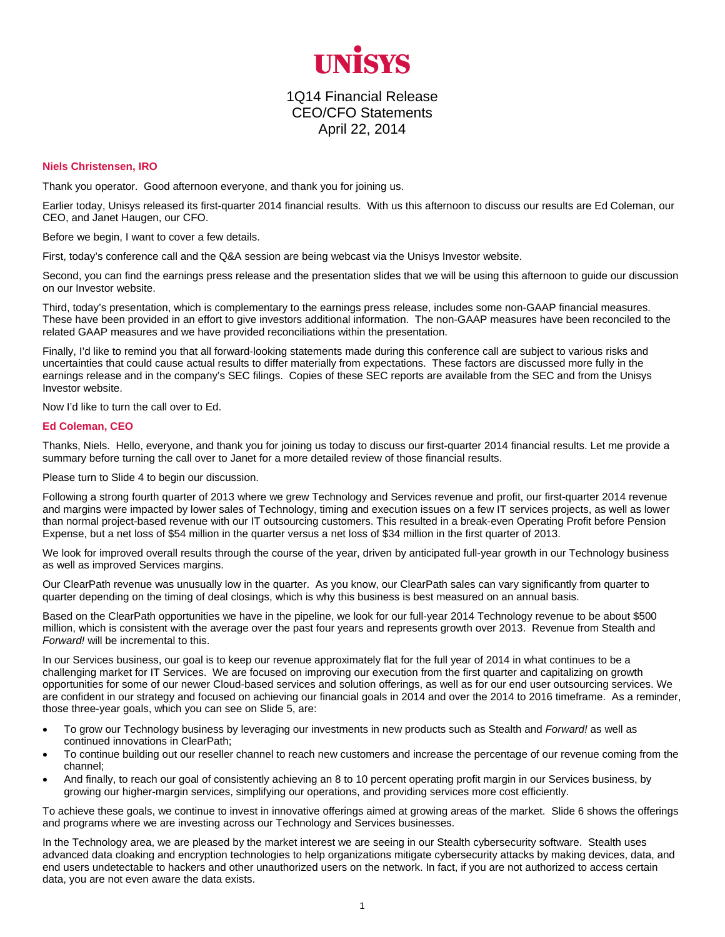

## 1Q14 Financial Release CEO/CFO Statements April 22, 2014

## **Niels Christensen, IRO**

Thank you operator. Good afternoon everyone, and thank you for joining us.

Earlier today, Unisys released its first-quarter 2014 financial results. With us this afternoon to discuss our results are Ed Coleman, our CEO, and Janet Haugen, our CFO.

Before we begin, I want to cover a few details.

First, today's conference call and the Q&A session are being webcast via the Unisys Investor website.

Second, you can find the earnings press release and the presentation slides that we will be using this afternoon to guide our discussion on our Investor website.

Third, today's presentation, which is complementary to the earnings press release, includes some non-GAAP financial measures. These have been provided in an effort to give investors additional information. The non-GAAP measures have been reconciled to the related GAAP measures and we have provided reconciliations within the presentation.

Finally, I'd like to remind you that all forward-looking statements made during this conference call are subject to various risks and uncertainties that could cause actual results to differ materially from expectations. These factors are discussed more fully in the earnings release and in the company's SEC filings. Copies of these SEC reports are available from the SEC and from the Unisys Investor website.

Now I'd like to turn the call over to Ed.

## **Ed Coleman, CEO**

Thanks, Niels. Hello, everyone, and thank you for joining us today to discuss our first-quarter 2014 financial results. Let me provide a summary before turning the call over to Janet for a more detailed review of those financial results.

Please turn to Slide 4 to begin our discussion.

Following a strong fourth quarter of 2013 where we grew Technology and Services revenue and profit, our first-quarter 2014 revenue and margins were impacted by lower sales of Technology, timing and execution issues on a few IT services projects, as well as lower than normal project-based revenue with our IT outsourcing customers. This resulted in a break-even Operating Profit before Pension Expense, but a net loss of \$54 million in the quarter versus a net loss of \$34 million in the first quarter of 2013.

We look for improved overall results through the course of the year, driven by anticipated full-year growth in our Technology business as well as improved Services margins.

Our ClearPath revenue was unusually low in the quarter. As you know, our ClearPath sales can vary significantly from quarter to quarter depending on the timing of deal closings, which is why this business is best measured on an annual basis.

Based on the ClearPath opportunities we have in the pipeline, we look for our full-year 2014 Technology revenue to be about \$500 million, which is consistent with the average over the past four years and represents growth over 2013. Revenue from Stealth and *Forward!* will be incremental to this.

In our Services business, our goal is to keep our revenue approximately flat for the full year of 2014 in what continues to be a challenging market for IT Services. We are focused on improving our execution from the first quarter and capitalizing on growth opportunities for some of our newer Cloud-based services and solution offerings, as well as for our end user outsourcing services. We are confident in our strategy and focused on achieving our financial goals in 2014 and over the 2014 to 2016 timeframe. As a reminder, those three-year goals, which you can see on Slide 5, are:

- To grow our Technology business by leveraging our investments in new products such as Stealth and *Forward!* as well as continued innovations in ClearPath;
- To continue building out our reseller channel to reach new customers and increase the percentage of our revenue coming from the channel;
- And finally, to reach our goal of consistently achieving an 8 to 10 percent operating profit margin in our Services business, by growing our higher-margin services, simplifying our operations, and providing services more cost efficiently.

To achieve these goals, we continue to invest in innovative offerings aimed at growing areas of the market. Slide 6 shows the offerings and programs where we are investing across our Technology and Services businesses.

In the Technology area, we are pleased by the market interest we are seeing in our Stealth cybersecurity software. Stealth uses advanced data cloaking and encryption technologies to help organizations mitigate cybersecurity attacks by making devices, data, and end users undetectable to hackers and other unauthorized users on the network. In fact, if you are not authorized to access certain data, you are not even aware the data exists.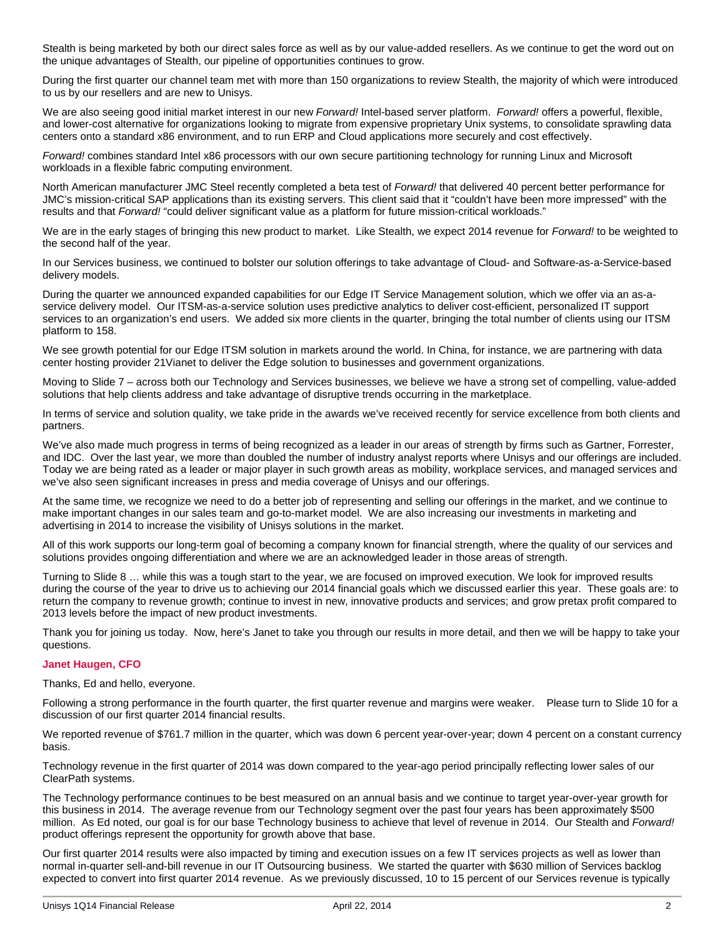Stealth is being marketed by both our direct sales force as well as by our value-added resellers. As we continue to get the word out on the unique advantages of Stealth, our pipeline of opportunities continues to grow.

During the first quarter our channel team met with more than 150 organizations to review Stealth, the majority of which were introduced to us by our resellers and are new to Unisys.

We are also seeing good initial market interest in our new *Forward!* Intel-based server platform. *Forward!* offers a powerful, flexible, and lower-cost alternative for organizations looking to migrate from expensive proprietary Unix systems, to consolidate sprawling data centers onto a standard x86 environment, and to run ERP and Cloud applications more securely and cost effectively.

*Forward!* combines standard Intel x86 processors with our own secure partitioning technology for running Linux and Microsoft workloads in a flexible fabric computing environment.

North American manufacturer JMC Steel recently completed a beta test of *Forward!* that delivered 40 percent better performance for JMC's mission-critical SAP applications than its existing servers. This client said that it "couldn't have been more impressed" with the results and that *Forward!* "could deliver significant value as a platform for future mission-critical workloads."

We are in the early stages of bringing this new product to market. Like Stealth, we expect 2014 revenue for *Forward!* to be weighted to the second half of the year.

In our Services business, we continued to bolster our solution offerings to take advantage of Cloud- and Software-as-a-Service-based delivery models.

During the quarter we announced expanded capabilities for our Edge IT Service Management solution, which we offer via an as-aservice delivery model. Our ITSM-as-a-service solution uses predictive analytics to deliver cost-efficient, personalized IT support services to an organization's end users. We added six more clients in the quarter, bringing the total number of clients using our ITSM platform to 158.

We see growth potential for our Edge ITSM solution in markets around the world. In China, for instance, we are partnering with data center hosting provider 21Vianet to deliver the Edge solution to businesses and government organizations.

Moving to Slide 7 – across both our Technology and Services businesses, we believe we have a strong set of compelling, value-added solutions that help clients address and take advantage of disruptive trends occurring in the marketplace.

In terms of service and solution quality, we take pride in the awards we've received recently for service excellence from both clients and partners.

We've also made much progress in terms of being recognized as a leader in our areas of strength by firms such as Gartner, Forrester, and IDC. Over the last year, we more than doubled the number of industry analyst reports where Unisys and our offerings are included. Today we are being rated as a leader or major player in such growth areas as mobility, workplace services, and managed services and we've also seen significant increases in press and media coverage of Unisys and our offerings.

At the same time, we recognize we need to do a better job of representing and selling our offerings in the market, and we continue to make important changes in our sales team and go-to-market model. We are also increasing our investments in marketing and advertising in 2014 to increase the visibility of Unisys solutions in the market.

All of this work supports our long-term goal of becoming a company known for financial strength, where the quality of our services and solutions provides ongoing differentiation and where we are an acknowledged leader in those areas of strength.

Turning to Slide 8 … while this was a tough start to the year, we are focused on improved execution. We look for improved results during the course of the year to drive us to achieving our 2014 financial goals which we discussed earlier this year. These goals are: to return the company to revenue growth; continue to invest in new, innovative products and services; and grow pretax profit compared to 2013 levels before the impact of new product investments.

Thank you for joining us today. Now, here's Janet to take you through our results in more detail, and then we will be happy to take your questions.

## **Janet Haugen, CFO**

Thanks, Ed and hello, everyone.

Following a strong performance in the fourth quarter, the first quarter revenue and margins were weaker. Please turn to Slide 10 for a discussion of our first quarter 2014 financial results.

We reported revenue of \$761.7 million in the quarter, which was down 6 percent year-over-year; down 4 percent on a constant currency basis.

Technology revenue in the first quarter of 2014 was down compared to the year-ago period principally reflecting lower sales of our ClearPath systems.

The Technology performance continues to be best measured on an annual basis and we continue to target year-over-year growth for this business in 2014. The average revenue from our Technology segment over the past four years has been approximately \$500 million. As Ed noted, our goal is for our base Technology business to achieve that level of revenue in 2014. Our Stealth and *Forward!* product offerings represent the opportunity for growth above that base.

Our first quarter 2014 results were also impacted by timing and execution issues on a few IT services projects as well as lower than normal in-quarter sell-and-bill revenue in our IT Outsourcing business. We started the quarter with \$630 million of Services backlog expected to convert into first quarter 2014 revenue. As we previously discussed, 10 to 15 percent of our Services revenue is typically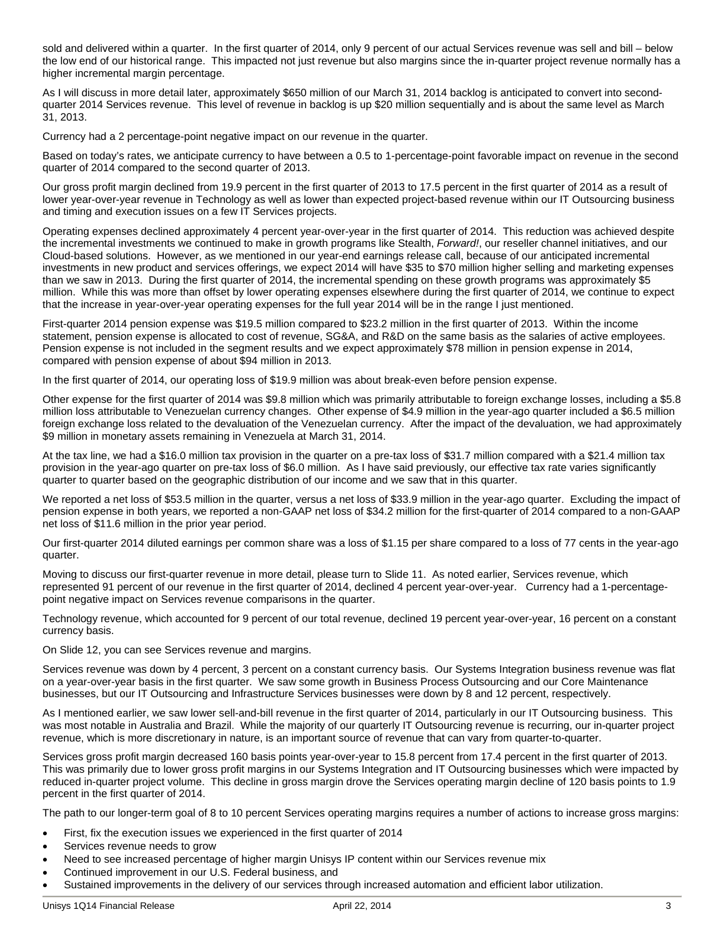sold and delivered within a quarter. In the first quarter of 2014, only 9 percent of our actual Services revenue was sell and bill – below the low end of our historical range. This impacted not just revenue but also margins since the in-quarter project revenue normally has a higher incremental margin percentage.

As I will discuss in more detail later, approximately \$650 million of our March 31, 2014 backlog is anticipated to convert into secondquarter 2014 Services revenue. This level of revenue in backlog is up \$20 million sequentially and is about the same level as March 31, 2013.

Currency had a 2 percentage-point negative impact on our revenue in the quarter.

Based on today's rates, we anticipate currency to have between a 0.5 to 1-percentage-point favorable impact on revenue in the second quarter of 2014 compared to the second quarter of 2013.

Our gross profit margin declined from 19.9 percent in the first quarter of 2013 to 17.5 percent in the first quarter of 2014 as a result of lower year-over-year revenue in Technology as well as lower than expected project-based revenue within our IT Outsourcing business and timing and execution issues on a few IT Services projects.

Operating expenses declined approximately 4 percent year-over-year in the first quarter of 2014. This reduction was achieved despite the incremental investments we continued to make in growth programs like Stealth, *Forward!*, our reseller channel initiatives, and our Cloud-based solutions. However, as we mentioned in our year-end earnings release call, because of our anticipated incremental investments in new product and services offerings, we expect 2014 will have \$35 to \$70 million higher selling and marketing expenses than we saw in 2013. During the first quarter of 2014, the incremental spending on these growth programs was approximately \$5 million. While this was more than offset by lower operating expenses elsewhere during the first quarter of 2014, we continue to expect that the increase in year-over-year operating expenses for the full year 2014 will be in the range I just mentioned.

First-quarter 2014 pension expense was \$19.5 million compared to \$23.2 million in the first quarter of 2013. Within the income statement, pension expense is allocated to cost of revenue, SG&A, and R&D on the same basis as the salaries of active employees. Pension expense is not included in the segment results and we expect approximately \$78 million in pension expense in 2014, compared with pension expense of about \$94 million in 2013.

In the first quarter of 2014, our operating loss of \$19.9 million was about break-even before pension expense.

Other expense for the first quarter of 2014 was \$9.8 million which was primarily attributable to foreign exchange losses, including a \$5.8 million loss attributable to Venezuelan currency changes. Other expense of \$4.9 million in the year-ago quarter included a \$6.5 million foreign exchange loss related to the devaluation of the Venezuelan currency. After the impact of the devaluation, we had approximately \$9 million in monetary assets remaining in Venezuela at March 31, 2014.

At the tax line, we had a \$16.0 million tax provision in the quarter on a pre-tax loss of \$31.7 million compared with a \$21.4 million tax provision in the year-ago quarter on pre-tax loss of \$6.0 million. As I have said previously, our effective tax rate varies significantly quarter to quarter based on the geographic distribution of our income and we saw that in this quarter.

We reported a net loss of \$53.5 million in the quarter, versus a net loss of \$33.9 million in the year-ago quarter. Excluding the impact of pension expense in both years, we reported a non-GAAP net loss of \$34.2 million for the first-quarter of 2014 compared to a non-GAAP net loss of \$11.6 million in the prior year period.

Our first-quarter 2014 diluted earnings per common share was a loss of \$1.15 per share compared to a loss of 77 cents in the year-ago quarter.

Moving to discuss our first-quarter revenue in more detail, please turn to Slide 11. As noted earlier, Services revenue, which represented 91 percent of our revenue in the first quarter of 2014, declined 4 percent year-over-year. Currency had a 1-percentagepoint negative impact on Services revenue comparisons in the quarter.

Technology revenue, which accounted for 9 percent of our total revenue, declined 19 percent year-over-year, 16 percent on a constant currency basis.

On Slide 12, you can see Services revenue and margins.

Services revenue was down by 4 percent, 3 percent on a constant currency basis. Our Systems Integration business revenue was flat on a year-over-year basis in the first quarter. We saw some growth in Business Process Outsourcing and our Core Maintenance businesses, but our IT Outsourcing and Infrastructure Services businesses were down by 8 and 12 percent, respectively.

As I mentioned earlier, we saw lower sell-and-bill revenue in the first quarter of 2014, particularly in our IT Outsourcing business. This was most notable in Australia and Brazil. While the majority of our quarterly IT Outsourcing revenue is recurring, our in-quarter project revenue, which is more discretionary in nature, is an important source of revenue that can vary from quarter-to-quarter.

Services gross profit margin decreased 160 basis points year-over-year to 15.8 percent from 17.4 percent in the first quarter of 2013. This was primarily due to lower gross profit margins in our Systems Integration and IT Outsourcing businesses which were impacted by reduced in-quarter project volume. This decline in gross margin drove the Services operating margin decline of 120 basis points to 1.9 percent in the first quarter of 2014.

The path to our longer-term goal of 8 to 10 percent Services operating margins requires a number of actions to increase gross margins:

- First, fix the execution issues we experienced in the first quarter of 2014
- Services revenue needs to grow
- Need to see increased percentage of higher margin Unisys IP content within our Services revenue mix
- Continued improvement in our U.S. Federal business, and
- Sustained improvements in the delivery of our services through increased automation and efficient labor utilization.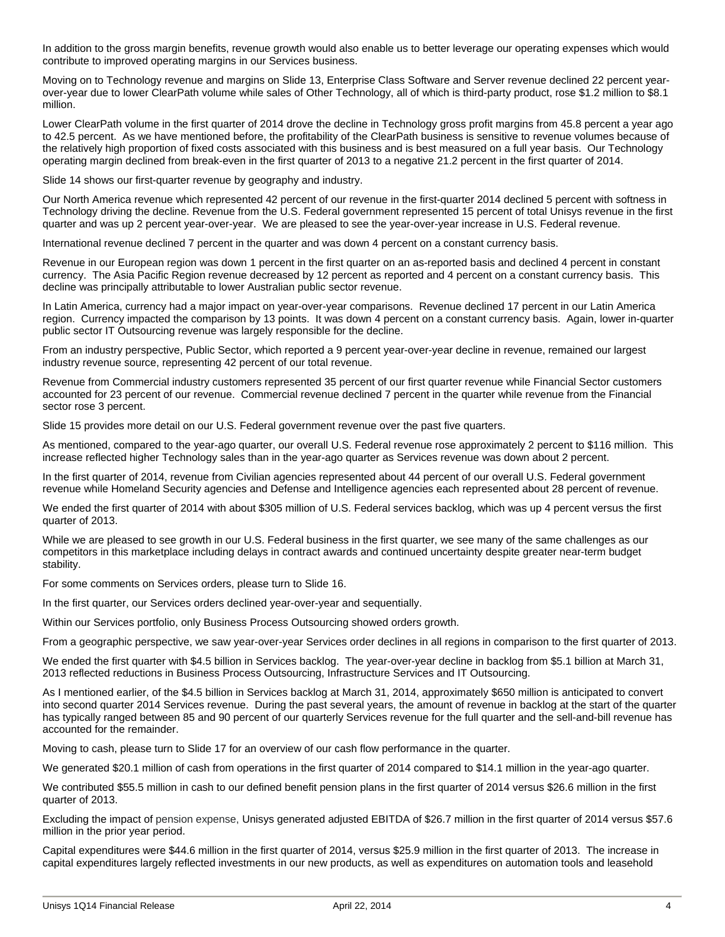In addition to the gross margin benefits, revenue growth would also enable us to better leverage our operating expenses which would contribute to improved operating margins in our Services business.

Moving on to Technology revenue and margins on Slide 13, Enterprise Class Software and Server revenue declined 22 percent yearover-year due to lower ClearPath volume while sales of Other Technology, all of which is third-party product, rose \$1.2 million to \$8.1 million.

Lower ClearPath volume in the first quarter of 2014 drove the decline in Technology gross profit margins from 45.8 percent a year ago to 42.5 percent. As we have mentioned before, the profitability of the ClearPath business is sensitive to revenue volumes because of the relatively high proportion of fixed costs associated with this business and is best measured on a full year basis. Our Technology operating margin declined from break-even in the first quarter of 2013 to a negative 21.2 percent in the first quarter of 2014.

Slide 14 shows our first-quarter revenue by geography and industry.

Our North America revenue which represented 42 percent of our revenue in the first-quarter 2014 declined 5 percent with softness in Technology driving the decline. Revenue from the U.S. Federal government represented 15 percent of total Unisys revenue in the first quarter and was up 2 percent year-over-year. We are pleased to see the year-over-year increase in U.S. Federal revenue.

International revenue declined 7 percent in the quarter and was down 4 percent on a constant currency basis.

Revenue in our European region was down 1 percent in the first quarter on an as-reported basis and declined 4 percent in constant currency. The Asia Pacific Region revenue decreased by 12 percent as reported and 4 percent on a constant currency basis. This decline was principally attributable to lower Australian public sector revenue.

In Latin America, currency had a major impact on year-over-year comparisons. Revenue declined 17 percent in our Latin America region. Currency impacted the comparison by 13 points. It was down 4 percent on a constant currency basis. Again, lower in-quarter public sector IT Outsourcing revenue was largely responsible for the decline.

From an industry perspective, Public Sector, which reported a 9 percent year-over-year decline in revenue, remained our largest industry revenue source, representing 42 percent of our total revenue.

Revenue from Commercial industry customers represented 35 percent of our first quarter revenue while Financial Sector customers accounted for 23 percent of our revenue. Commercial revenue declined 7 percent in the quarter while revenue from the Financial sector rose 3 percent.

Slide 15 provides more detail on our U.S. Federal government revenue over the past five quarters.

As mentioned, compared to the year-ago quarter, our overall U.S. Federal revenue rose approximately 2 percent to \$116 million. This increase reflected higher Technology sales than in the year-ago quarter as Services revenue was down about 2 percent.

In the first quarter of 2014, revenue from Civilian agencies represented about 44 percent of our overall U.S. Federal government revenue while Homeland Security agencies and Defense and Intelligence agencies each represented about 28 percent of revenue.

We ended the first quarter of 2014 with about \$305 million of U.S. Federal services backlog, which was up 4 percent versus the first quarter of 2013.

While we are pleased to see growth in our U.S. Federal business in the first quarter, we see many of the same challenges as our competitors in this marketplace including delays in contract awards and continued uncertainty despite greater near-term budget stability.

For some comments on Services orders, please turn to Slide 16.

In the first quarter, our Services orders declined year-over-year and sequentially.

Within our Services portfolio, only Business Process Outsourcing showed orders growth.

From a geographic perspective, we saw year-over-year Services order declines in all regions in comparison to the first quarter of 2013.

We ended the first quarter with \$4.5 billion in Services backlog. The year-over-year decline in backlog from \$5.1 billion at March 31, 2013 reflected reductions in Business Process Outsourcing, Infrastructure Services and IT Outsourcing.

As I mentioned earlier, of the \$4.5 billion in Services backlog at March 31, 2014, approximately \$650 million is anticipated to convert into second quarter 2014 Services revenue. During the past several years, the amount of revenue in backlog at the start of the quarter has typically ranged between 85 and 90 percent of our quarterly Services revenue for the full quarter and the sell-and-bill revenue has accounted for the remainder.

Moving to cash, please turn to Slide 17 for an overview of our cash flow performance in the quarter.

We generated \$20.1 million of cash from operations in the first quarter of 2014 compared to \$14.1 million in the year-ago quarter.

We contributed \$55.5 million in cash to our defined benefit pension plans in the first quarter of 2014 versus \$26.6 million in the first quarter of 2013.

Excluding the impact of pension expense, Unisys generated adjusted EBITDA of \$26.7 million in the first quarter of 2014 versus \$57.6 million in the prior year period.

Capital expenditures were \$44.6 million in the first quarter of 2014, versus \$25.9 million in the first quarter of 2013. The increase in capital expenditures largely reflected investments in our new products, as well as expenditures on automation tools and leasehold